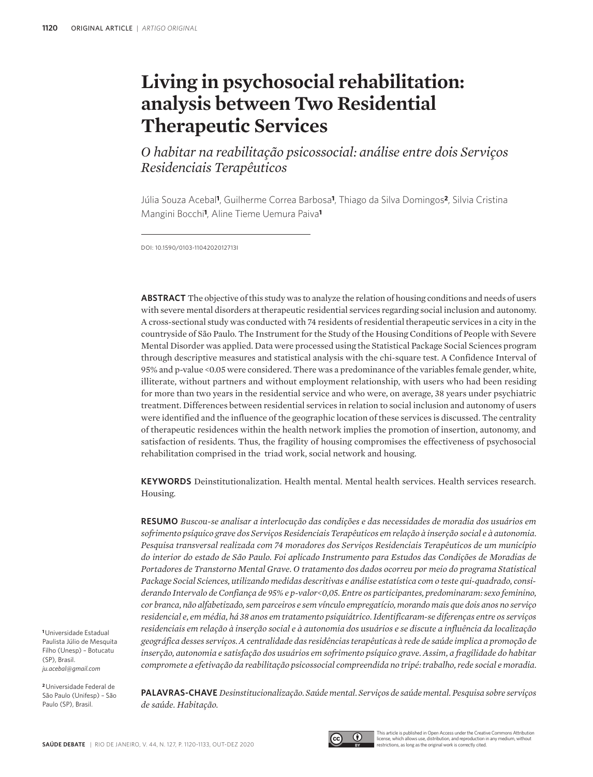# **Living in psychosocial rehabilitation: analysis between Two Residential Therapeutic Services**

*O habitar na reabilitação psicossocial: análise entre dois Serviços Residenciais Terapêuticos*

Júlia Souza Acebal**1**, Guilherme Correa Barbosa**1**, Thiago da Silva Domingos**2**, Silvia Cristina Mangini Bocchi**1**, Aline Tieme Uemura Paiva**<sup>1</sup>**

DOI: 10.1590/0103-1104202012713I

**ABSTRACT** The objective of this study was to analyze the relation of housing conditions and needs of users with severe mental disorders at therapeutic residential services regarding social inclusion and autonomy. A cross-sectional study was conducted with 74 residents of residential therapeutic services in a city in the countryside of São Paulo. The Instrument for the Study of the Housing Conditions of People with Severe Mental Disorder was applied. Data were processed using the Statistical Package Social Sciences program through descriptive measures and statistical analysis with the chi-square test. A Confidence Interval of 95% and p-value <0.05 were considered. There was a predominance of the variables female gender, white, illiterate, without partners and without employment relationship, with users who had been residing for more than two years in the residential service and who were, on average, 38 years under psychiatric treatment. Differences between residential services in relation to social inclusion and autonomy of users were identified and the influence of the geographic location of these services is discussed. The centrality of therapeutic residences within the health network implies the promotion of insertion, autonomy, and satisfaction of residents. Thus, the fragility of housing compromises the effectiveness of psychosocial rehabilitation comprised in the triad work, social network and housing.

**KEYWORDS** Deinstitutionalization. Health mental. Mental health services. Health services research. Housing.

**RESUMO** *Buscou-se analisar a interlocução das condições e das necessidades de moradia dos usuários em sofrimento psíquico grave dos Serviços Residenciais Terapêuticos em relação à inserção social e à autonomia. Pesquisa transversal realizada com 74 moradores dos Serviços Residenciais Terapêuticos de um município do interior do estado de São Paulo. Foi aplicado Instrumento para Estudos das Condições de Moradias de Portadores de Transtorno Mental Grave. O tratamento dos dados ocorreu por meio do programa Statistical Package Social Sciences, utilizando medidas descritivas e análise estatística com o teste qui-quadrado, considerando Intervalo de Confiança de 95% e p-valor<0,05. Entre os participantes, predominaram: sexo feminino, cor branca, não alfabetizado, sem parceiros e sem vínculo empregatício, morando mais que dois anos no serviço residencial e, em média, há 38 anos em tratamento psiquiátrico. Identificaram-se diferenças entre os serviços residenciais em relação à inserção social e à autonomia dos usuários e se discute a influência da localização geográfica desses serviços. A centralidade das residências terapêuticas à rede de saúde implica a promoção de inserção, autonomia e satisfação dos usuários em sofrimento psíquico grave. Assim, a fragilidade do habitar compromete a efetivação da reabilitação psicossocial compreendida no tripé: trabalho, rede social e moradia.* 

**<sup>1</sup>**Universidade Estadual Paulista Júlio de Mesquita Filho (Unesp) – Botucatu (SP), Brasil. *ju.acebal@gmail.com*

**<sup>2</sup>**Universidade Federal de São Paulo (Unifesp) – São Paulo (SP), Brasil.

**PALAVRAS-CHAVE** *Desinstitucionalização. Saúde mental. Serviços de saúde mental. Pesquisa sobre serviços de saúde. Habitação.*



This article is published in Open Access under the Creative Commons Attributio license, which allows use, distribution, and reproduction in any medium, without restrictions, as long as the original work is correctly cited.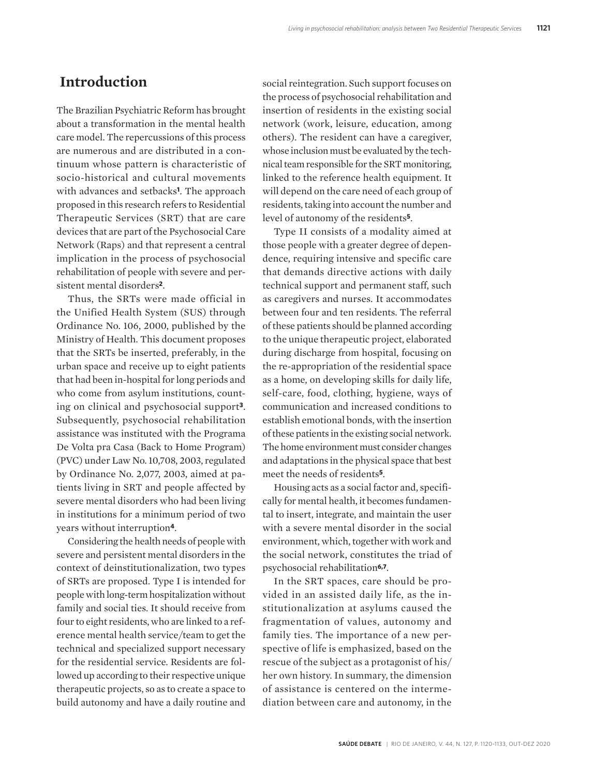#### **Introduction**

The Brazilian Psychiatric Reform has brought about a transformation in the mental health care model. The repercussions of this process are numerous and are distributed in a continuum whose pattern is characteristic of socio-historical and cultural movements with advances and setbacks**1**. The approach proposed in this research refers to Residential Therapeutic Services (SRT) that are care devices that are part of the Psychosocial Care Network (Raps) and that represent a central implication in the process of psychosocial rehabilitation of people with severe and persistent mental disorders**2**.

Thus, the SRTs were made official in the Unified Health System (SUS) through Ordinance No. 106, 2000, published by the Ministry of Health. This document proposes that the SRTs be inserted, preferably, in the urban space and receive up to eight patients that had been in-hospital for long periods and who come from asylum institutions, counting on clinical and psychosocial support**3**. Subsequently, psychosocial rehabilitation assistance was instituted with the Programa De Volta pra Casa (Back to Home Program) (PVC) under Law No. 10,708, 2003, regulated by Ordinance No. 2,077, 2003, aimed at patients living in SRT and people affected by severe mental disorders who had been living in institutions for a minimum period of two years without interruption**4**.

Considering the health needs of people with severe and persistent mental disorders in the context of deinstitutionalization, two types of SRTs are proposed. Type I is intended for people with long-term hospitalization without family and social ties. It should receive from four to eight residents, who are linked to a reference mental health service/team to get the technical and specialized support necessary for the residential service. Residents are followed up according to their respective unique therapeutic projects, so as to create a space to build autonomy and have a daily routine and

social reintegration. Such support focuses on the process of psychosocial rehabilitation and insertion of residents in the existing social network (work, leisure, education, among others). The resident can have a caregiver, whose inclusion must be evaluated by the technical team responsible for the SRT monitoring, linked to the reference health equipment. It will depend on the care need of each group of residents, taking into account the number and level of autonomy of the residents**5**.

Type II consists of a modality aimed at those people with a greater degree of dependence, requiring intensive and specific care that demands directive actions with daily technical support and permanent staff, such as caregivers and nurses. It accommodates between four and ten residents. The referral of these patients should be planned according to the unique therapeutic project, elaborated during discharge from hospital, focusing on the re-appropriation of the residential space as a home, on developing skills for daily life, self-care, food, clothing, hygiene, ways of communication and increased conditions to establish emotional bonds, with the insertion of these patients in the existing social network. The home environment must consider changes and adaptations in the physical space that best meet the needs of residents**5**.

Housing acts as a social factor and, specifically for mental health, it becomes fundamental to insert, integrate, and maintain the user with a severe mental disorder in the social environment, which, together with work and the social network, constitutes the triad of psychosocial rehabilitation**6,7**.

In the SRT spaces, care should be provided in an assisted daily life, as the institutionalization at asylums caused the fragmentation of values, autonomy and family ties. The importance of a new perspective of life is emphasized, based on the rescue of the subject as a protagonist of his/ her own history. In summary, the dimension of assistance is centered on the intermediation between care and autonomy, in the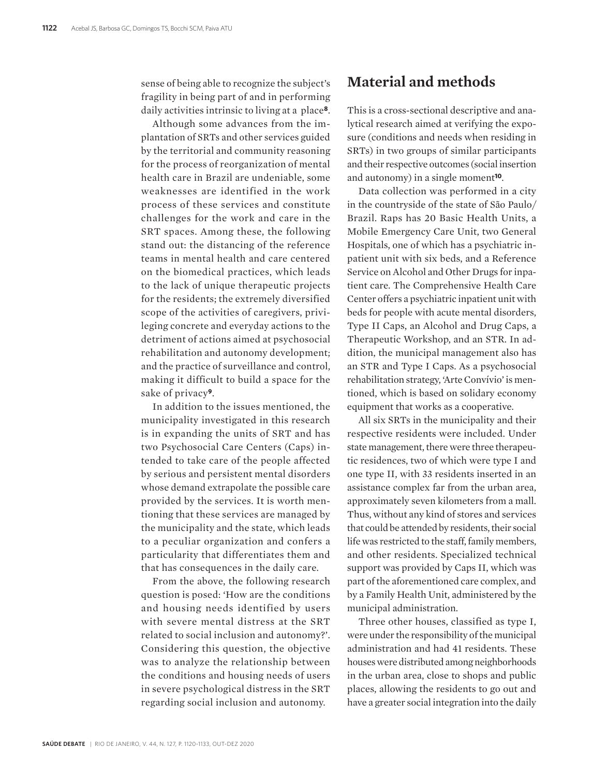sense of being able to recognize the subject's fragility in being part of and in performing daily activities intrinsic to living at a place**8**.

Although some advances from the implantation of SRTs and other services guided by the territorial and community reasoning for the process of reorganization of mental health care in Brazil are undeniable, some weaknesses are identified in the work process of these services and constitute challenges for the work and care in the SRT spaces. Among these, the following stand out: the distancing of the reference teams in mental health and care centered on the biomedical practices, which leads to the lack of unique therapeutic projects for the residents; the extremely diversified scope of the activities of caregivers, privileging concrete and everyday actions to the detriment of actions aimed at psychosocial rehabilitation and autonomy development; and the practice of surveillance and control, making it difficult to build a space for the sake of privacy**9**.

In addition to the issues mentioned, the municipality investigated in this research is in expanding the units of SRT and has two Psychosocial Care Centers (Caps) intended to take care of the people affected by serious and persistent mental disorders whose demand extrapolate the possible care provided by the services. It is worth mentioning that these services are managed by the municipality and the state, which leads to a peculiar organization and confers a particularity that differentiates them and that has consequences in the daily care.

From the above, the following research question is posed: 'How are the conditions and housing needs identified by users with severe mental distress at the SRT related to social inclusion and autonomy?'. Considering this question, the objective was to analyze the relationship between the conditions and housing needs of users in severe psychological distress in the SRT regarding social inclusion and autonomy.

## **Material and methods**

This is a cross-sectional descriptive and analytical research aimed at verifying the exposure (conditions and needs when residing in SRTs) in two groups of similar participants and their respective outcomes (social insertion and autonomy) in a single moment**10**.

Data collection was performed in a city in the countryside of the state of São Paulo/ Brazil. Raps has 20 Basic Health Units, a Mobile Emergency Care Unit, two General Hospitals, one of which has a psychiatric inpatient unit with six beds, and a Reference Service on Alcohol and Other Drugs for inpatient care. The Comprehensive Health Care Center offers a psychiatric inpatient unit with beds for people with acute mental disorders, Type II Caps, an Alcohol and Drug Caps, a Therapeutic Workshop, and an STR. In addition, the municipal management also has an STR and Type I Caps. As a psychosocial rehabilitation strategy, 'Arte Convívio' is mentioned, which is based on solidary economy equipment that works as a cooperative.

All six SRTs in the municipality and their respective residents were included. Under state management, there were three therapeutic residences, two of which were type I and one type II, with 33 residents inserted in an assistance complex far from the urban area, approximately seven kilometers from a mall. Thus, without any kind of stores and services that could be attended by residents, their social life was restricted to the staff, family members, and other residents. Specialized technical support was provided by Caps II, which was part of the aforementioned care complex, and by a Family Health Unit, administered by the municipal administration.

Three other houses, classified as type I, were under the responsibility of the municipal administration and had 41 residents. These houses were distributed among neighborhoods in the urban area, close to shops and public places, allowing the residents to go out and have a greater social integration into the daily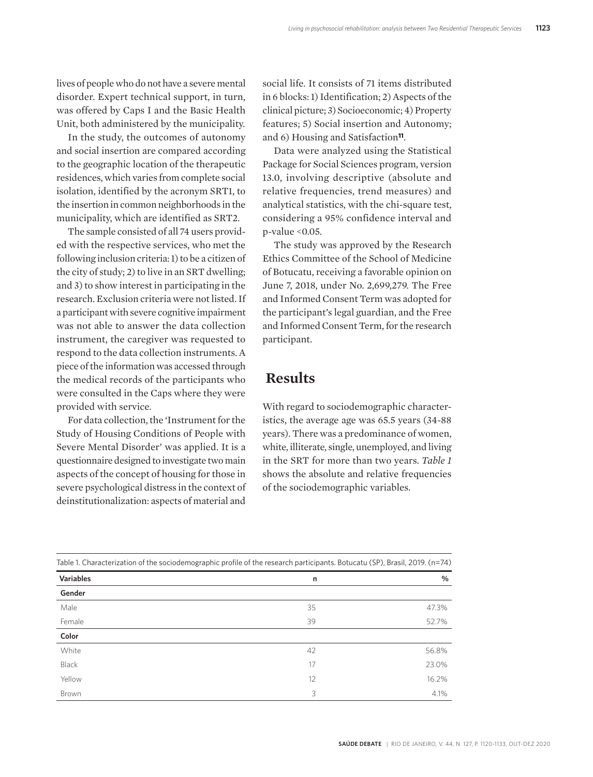lives of people who do not have a severe mental disorder. Expert technical support, in turn, was offered by Caps I and the Basic Health Unit, both administered by the municipality.

In the study, the outcomes of autonomy and social insertion are compared according to the geographic location of the therapeutic residences, which varies from complete social isolation, identified by the acronym SRT1, to the insertion in common neighborhoods in the municipality, which are identified as SRT2.

The sample consisted of all 74 users provided with the respective services, who met the following inclusion criteria: 1) to be a citizen of the city of study; 2) to live in an SRT dwelling; and 3) to show interest in participating in the research. Exclusion criteria were not listed. If a participant with severe cognitive impairment was not able to answer the data collection instrument, the caregiver was requested to respond to the data collection instruments. A piece of the information was accessed through the medical records of the participants who were consulted in the Caps where they were provided with service.

For data collection, the 'Instrument for the Study of Housing Conditions of People with Severe Mental Disorder' was applied. It is a questionnaire designed to investigate two main aspects of the concept of housing for those in severe psychological distress in the context of deinstitutionalization: aspects of material and

social life. It consists of 71 items distributed in 6 blocks: 1) Identification; 2) Aspects of the clinical picture; 3) Socioeconomic; 4) Property features; 5) Social insertion and Autonomy; and 6) Housing and Satisfaction**11**.

Data were analyzed using the Statistical Package for Social Sciences program, version 13.0, involving descriptive (absolute and relative frequencies, trend measures) and analytical statistics, with the chi-square test, considering a 95% confidence interval and p-value <0.05.

The study was approved by the Research Ethics Committee of the School of Medicine of Botucatu, receiving a favorable opinion on June 7, 2018, under No. 2,699,279. The Free and Informed Consent Term was adopted for the participant's legal guardian, and the Free and Informed Consent Term, for the research participant.

#### **Results**

With regard to sociodemographic characteristics, the average age was 65.5 years (34-88 years). There was a predominance of women, white, illiterate, single, unemployed, and living in the SRT for more than two years. *Table 1*  shows the absolute and relative frequencies of the sociodemographic variables.

| Table 1. Characterization of the sociodemographic profile of the research participants. Botucatu (SP), Brasil, 2019. (n=74) |    |       |  |  |
|-----------------------------------------------------------------------------------------------------------------------------|----|-------|--|--|
| Variables                                                                                                                   | n  | %     |  |  |
| Gender                                                                                                                      |    |       |  |  |
| Male                                                                                                                        | 35 | 47.3% |  |  |
| Female                                                                                                                      | 39 | 52.7% |  |  |
| Color                                                                                                                       |    |       |  |  |
| White                                                                                                                       | 42 | 56.8% |  |  |
| Black                                                                                                                       | 17 | 23.0% |  |  |
| Yellow                                                                                                                      | 12 | 16.2% |  |  |
| Brown                                                                                                                       | 3  | 4.1%  |  |  |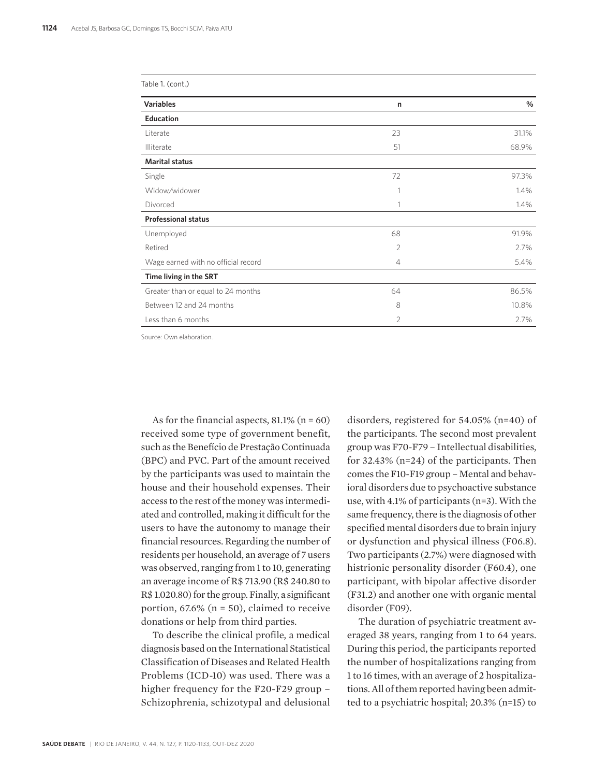| Table 1. (cont.)                    |                |       |
|-------------------------------------|----------------|-------|
| <b>Variables</b>                    | $\mathsf{n}$   | %     |
| Education                           |                |       |
| Literate                            | 23             | 31.1% |
| Illiterate                          | 51             | 68.9% |
| <b>Marital status</b>               |                |       |
| Single                              | 72             | 97.3% |
| Widow/widower                       |                | 1.4%  |
| Divorced                            | 1              | 1.4%  |
| <b>Professional status</b>          |                |       |
| Unemployed                          | 68             | 91.9% |
| Retired                             | $\overline{2}$ | 2.7%  |
| Wage earned with no official record | $\overline{4}$ | 5.4%  |
| Time living in the SRT              |                |       |
| Greater than or equal to 24 months  | 64             | 86.5% |
| Between 12 and 24 months            | 8              | 10.8% |
| Less than 6 months                  | $\overline{2}$ | 2.7%  |

Source: Own elaboration.

As for the financial aspects,  $81.1\%$  (n = 60) received some type of government benefit, such as the Benefício de Prestação Continuada (BPC) and PVC. Part of the amount received by the participants was used to maintain the house and their household expenses. Their access to the rest of the money was intermediated and controlled, making it difficult for the users to have the autonomy to manage their financial resources. Regarding the number of residents per household, an average of 7 users was observed, ranging from 1 to 10, generating an average income of R\$ 713.90 (R\$ 240.80 to R\$ 1.020.80) for the group. Finally, a significant portion,  $67.6\%$  (n = 50), claimed to receive donations or help from third parties.

To describe the clinical profile, a medical diagnosis based on the International Statistical Classification of Diseases and Related Health Problems (ICD-10) was used. There was a higher frequency for the F20-F29 group – Schizophrenia, schizotypal and delusional

disorders, registered for 54.05% (n=40) of the participants. The second most prevalent group was F70-F79 – Intellectual disabilities, for 32.43% (n=24) of the participants. Then comes the F10-F19 group – Mental and behavioral disorders due to psychoactive substance use, with 4.1% of participants (n=3). With the same frequency, there is the diagnosis of other specified mental disorders due to brain injury or dysfunction and physical illness (F06.8). Two participants (2.7%) were diagnosed with histrionic personality disorder (F60.4), one participant, with bipolar affective disorder (F31.2) and another one with organic mental disorder (F09).

The duration of psychiatric treatment averaged 38 years, ranging from 1 to 64 years. During this period, the participants reported the number of hospitalizations ranging from 1 to 16 times, with an average of 2 hospitalizations. All of them reported having been admitted to a psychiatric hospital; 20.3% (n=15) to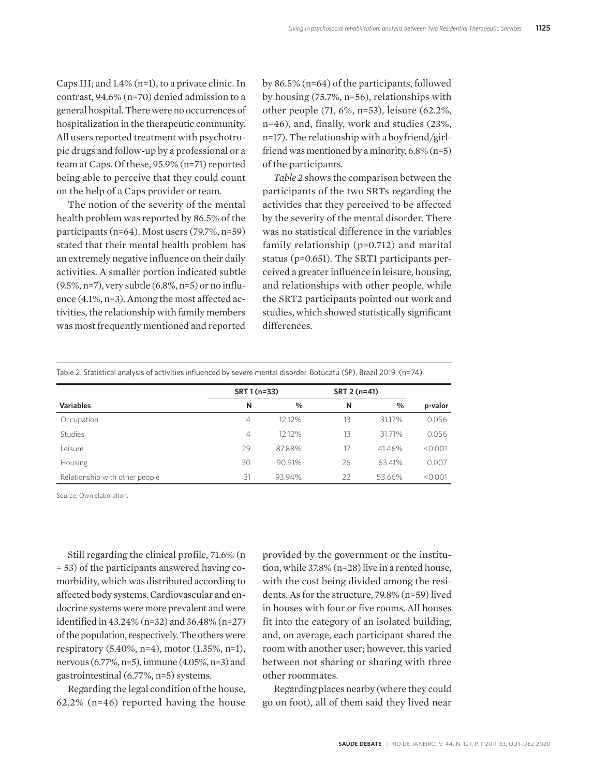Caps III; and 1.4% (n=1), to a private clinic. In contrast, 94.6% (n=70) denied admission to a general hospital. There were no occurrences of hospitalization in the therapeutic community. All users reported treatment with psychotropic drugs and follow-up by a professional or a team at Caps. Of these, 95.9% (n=71) reported being able to perceive that they could count on the help of a Caps provider or team.

The notion of the severity of the mental health problem was reported by 86.5% of the participants (n=64). Most users (79.7%, n=59) stated that their mental health problem has an extremely negative influence on their daily activities. A smaller portion indicated subtle (9.5%, n=7), very subtle (6.8%, n=5) or no influence (4.1%, n=3). Among the most affected activities, the relationship with family members was most frequently mentioned and reported by 86.5% (n=64) of the participants, followed by housing (75.7%, n=56), relationships with other people (71, 6%, n=53), leisure (62.2%, n=46), and, finally, work and studies (23%, n=17). The relationship with a boyfriend/girlfriend was mentioned by a minority, 6.8% (n=5) of the participants.

*Table 2* shows the comparison between the participants of the two SRTs regarding the activities that they perceived to be affected by the severity of the mental disorder. There was no statistical difference in the variables family relationship (p=0.712) and marital status (p=0.651). The SRT1 participants perceived a greater influence in leisure, housing, and relationships with other people, while the SRT2 participants pointed out work and studies, which showed statistically significant differences.

Table 2. Statistical analysis of activities influenced by severe mental disorder. Botucatu (SP), Brazil 2019. (n=74)

|                                | SRT 1 (n=33) |        | SRT 2 (n=41) |        |         |
|--------------------------------|--------------|--------|--------------|--------|---------|
| <b>Variables</b>               | N            | $\%$   | N            | %      | p-valor |
| Occupation                     | 4            | 12.12% | 13           | 31.17% | 0.056   |
| <b>Studies</b>                 | 4            | 12.12% | 13           | 31.71% | 0.056   |
| Leisure                        | 29           | 87.88% | 17           | 41.46% | < 0.001 |
| Housing                        | 30           | 90.91% | 26           | 63.41% | 0.007   |
| Relationship with other people | 31           | 93.94% | 22           | 53.66% | < 0.001 |

Source: Own elaboration.

Still regarding the clinical profile, 71.6% (n = 53) of the participants answered having comorbidity, which was distributed according to affected body systems. Cardiovascular and endocrine systems were more prevalent and were identified in 43.24% (n=32) and 36.48% (n=27) of the population, respectively. The others were respiratory (5.40%, n=4), motor (1.35%, n=1), nervous (6.77%, n=5), immune (4.05%, n=3) and gastrointestinal (6.77%, n=5) systems.

Regarding the legal condition of the house, 62.2% (n=46) reported having the house

provided by the government or the institution, while 37.8% (n=28) live in a rented house, with the cost being divided among the residents. As for the structure, 79.8% (n=59) lived in houses with four or five rooms. All houses fit into the category of an isolated building, and, on average, each participant shared the room with another user; however, this varied between not sharing or sharing with three other roommates.

Regarding places nearby (where they could go on foot), all of them said they lived near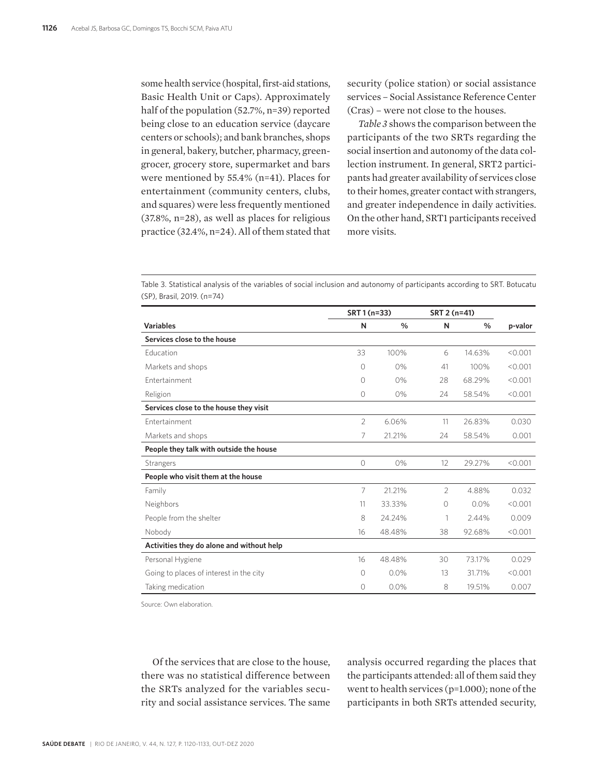some health service (hospital, first-aid stations, Basic Health Unit or Caps). Approximately half of the population (52.7%, n=39) reported being close to an education service (daycare centers or schools); and bank branches, shops in general, bakery, butcher, pharmacy, greengrocer, grocery store, supermarket and bars were mentioned by 55.4% (n=41). Places for entertainment (community centers, clubs, and squares) were less frequently mentioned (37.8%, n=28), as well as places for religious practice (32.4%, n=24). All of them stated that security (police station) or social assistance services – Social Assistance Reference Center (Cras) – were not close to the houses.

*Table 3* shows the comparison between the participants of the two SRTs regarding the social insertion and autonomy of the data collection instrument. In general, SRT2 participants had greater availability of services close to their homes, greater contact with strangers, and greater independence in daily activities. On the other hand, SRT1 participants received more visits.

Table 3. Statistical analysis of the variables of social inclusion and autonomy of participants according to SRT. Botucatu (SP), Brasil, 2019. (n=74)

|                                           | SRT 1 (n=33)   |               | SRT 2 (n=41) |        |         |
|-------------------------------------------|----------------|---------------|--------------|--------|---------|
| <b>Variables</b>                          | N              | $\frac{0}{0}$ | N            | $\%$   | p-valor |
| Services close to the house               |                |               |              |        |         |
| <b>Education</b>                          | 33             | 100%          | 6            | 14.63% | < 0.001 |
| Markets and shops                         | 0              | 0%            | 41           | 100%   | < 0.001 |
| <b>Fntertainment</b>                      | 0              | 0%            | 28           | 68.29% | < 0.001 |
| Religion                                  | $\circ$        | 0%            | 24           | 58.54% | < 0.001 |
| Services close to the house they visit    |                |               |              |        |         |
| Fntertainment                             | $\overline{2}$ | 6.06%         | 11           | 26.83% | 0.030   |
| Markets and shops                         | 7              | 21.21%        | 24           | 58.54% | 0.001   |
| People they talk with outside the house   |                |               |              |        |         |
| Strangers                                 | $\circ$        | 0%            | 12           | 29.27% | < 0.001 |
| People who visit them at the house        |                |               |              |        |         |
| Family                                    | 7              | 21.21%        | 2            | 4.88%  | 0.032   |
| Neighbors                                 | 11             | 33.33%        | $\Omega$     | 0.0%   | < 0.001 |
| People from the shelter                   | 8              | 24.24%        | 1            | 2.44%  | 0.009   |
| Nobody                                    | 16             | 48.48%        | 38           | 92.68% | < 0.001 |
| Activities they do alone and without help |                |               |              |        |         |
| Personal Hygiene                          | 16             | 48.48%        | 30           | 73.17% | 0.029   |
| Going to places of interest in the city   | 0              | 0.0%          | 13           | 31.71% | < 0.001 |
| Taking medication                         | 0              | 0.0%          | 8            | 19.51% | 0.007   |

Source: Own elaboration.

Of the services that are close to the house, there was no statistical difference between the SRTs analyzed for the variables security and social assistance services. The same analysis occurred regarding the places that the participants attended: all of them said they went to health services (p=1.000); none of the participants in both SRTs attended security,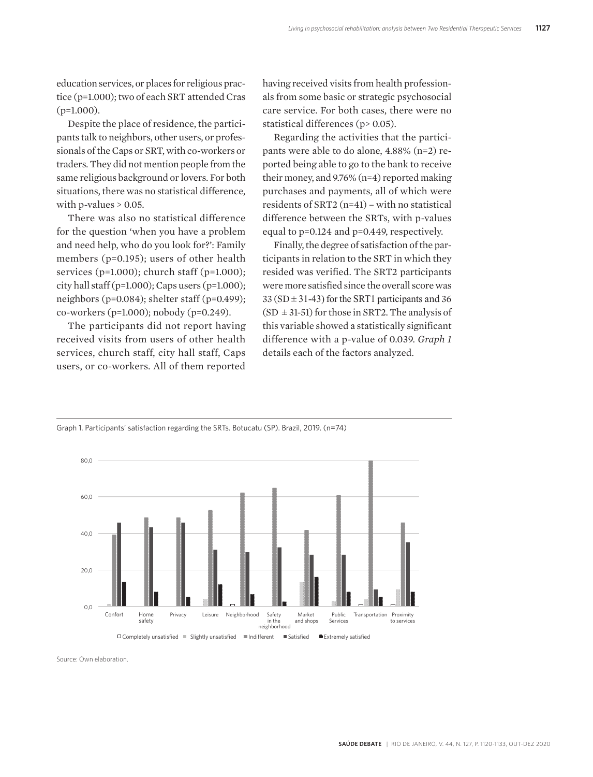education services, or places for religious practice (p=1.000); two of each SRT attended Cras  $(p=1.000)$ .

Despite the place of residence, the participants talk to neighbors, other users, or professionals of the Caps or SRT, with co-workers or traders. They did not mention people from the same religious background or lovers. For both situations, there was no statistical difference, with p-values  $> 0.05$ .

There was also no statistical difference for the question 'when you have a problem and need help, who do you look for?': Family members (p=0.195); users of other health services (p=1.000); church staff (p=1.000); city hall staff (p=1.000); Caps users (p=1.000); neighbors (p=0.084); shelter staff (p=0.499); co-workers (p=1.000); nobody (p=0.249).

The participants did not report having received visits from users of other health services, church staff, city hall staff, Caps users, or co-workers. All of them reported

having received visits from health professionals from some basic or strategic psychosocial care service. For both cases, there were no statistical differences (p> 0.05).

Regarding the activities that the participants were able to do alone, 4.88% (n=2) reported being able to go to the bank to receive their money, and 9.76% (n=4) reported making purchases and payments, all of which were residents of SRT2 (n=41) – with no statistical difference between the SRTs, with p-values equal to p=0.124 and p=0.449, respectively.

Finally, the degree of satisfaction of the participants in relation to the SRT in which they resided was verified. The SRT2 participants were more satisfied since the overall score was  $33 (SD \pm 31 - 43)$  for the SRT1 participants and 36  $(SD \pm 31-51)$  for those in SRT2. The analysis of this variable showed a statistically significant difference with a p-value of 0.039. *Graph 1*  details each of the factors analyzed.



Graph 1. Participants' satisfaction regarding the SRTs. Botucatu (SP). Brazil, 2019. (n=74)

Source: Own elaboration.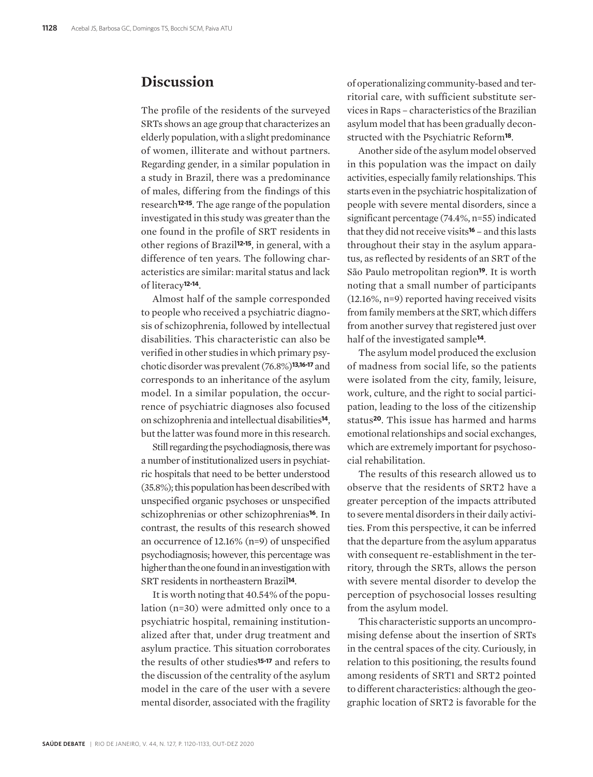#### **Discussion**

The profile of the residents of the surveyed SRTs shows an age group that characterizes an elderly population, with a slight predominance of women, illiterate and without partners. Regarding gender, in a similar population in a study in Brazil, there was a predominance of males, differing from the findings of this research**12-15**. The age range of the population investigated in this study was greater than the one found in the profile of SRT residents in other regions of Brazil**12-15**, in general, with a difference of ten years. The following characteristics are similar: marital status and lack of literacy**12-14**.

Almost half of the sample corresponded to people who received a psychiatric diagnosis of schizophrenia, followed by intellectual disabilities. This characteristic can also be verified in other studies in which primary psychotic disorder was prevalent (76.8%)**13,16-17** and corresponds to an inheritance of the asylum model. In a similar population, the occurrence of psychiatric diagnoses also focused on schizophrenia and intellectual disabilities**14**, but the latter was found more in this research.

Still regarding the psychodiagnosis, there was a number of institutionalized users in psychiatric hospitals that need to be better understood (35.8%); this population has been described with unspecified organic psychoses or unspecified schizophrenias or other schizophrenias**16**. In contrast, the results of this research showed an occurrence of 12.16% (n=9) of unspecified psychodiagnosis; however, this percentage was higher than the one found in an investigation with SRT residents in northeastern Brazil**14**.

It is worth noting that 40.54% of the population (n=30) were admitted only once to a psychiatric hospital, remaining institutionalized after that, under drug treatment and asylum practice. This situation corroborates the results of other studies**15-17** and refers to the discussion of the centrality of the asylum model in the care of the user with a severe mental disorder, associated with the fragility of operationalizing community-based and territorial care, with sufficient substitute services in Raps – characteristics of the Brazilian asylum model that has been gradually deconstructed with the Psychiatric Reform**18**.

Another side of the asylum model observed in this population was the impact on daily activities, especially family relationships. This starts even in the psychiatric hospitalization of people with severe mental disorders, since a significant percentage (74.4%, n=55) indicated that they did not receive visits**16** – and this lasts throughout their stay in the asylum apparatus, as reflected by residents of an SRT of the São Paulo metropolitan region**19**. It is worth noting that a small number of participants (12.16%, n=9) reported having received visits from family members at the SRT, which differs from another survey that registered just over half of the investigated sample**14**.

The asylum model produced the exclusion of madness from social life, so the patients were isolated from the city, family, leisure, work, culture, and the right to social participation, leading to the loss of the citizenship status**20**. This issue has harmed and harms emotional relationships and social exchanges, which are extremely important for psychosocial rehabilitation.

The results of this research allowed us to observe that the residents of SRT2 have a greater perception of the impacts attributed to severe mental disorders in their daily activities. From this perspective, it can be inferred that the departure from the asylum apparatus with consequent re-establishment in the territory, through the SRTs, allows the person with severe mental disorder to develop the perception of psychosocial losses resulting from the asylum model.

This characteristic supports an uncompromising defense about the insertion of SRTs in the central spaces of the city. Curiously, in relation to this positioning, the results found among residents of SRT1 and SRT2 pointed to different characteristics: although the geographic location of SRT2 is favorable for the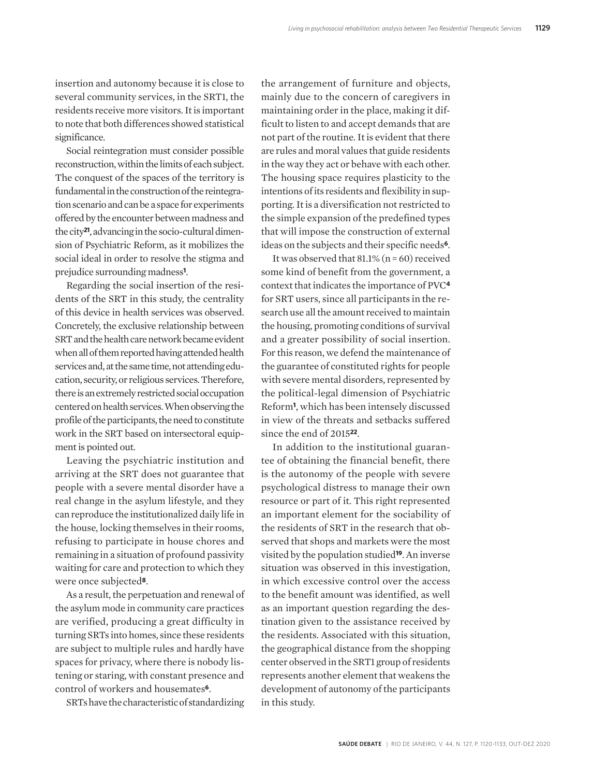insertion and autonomy because it is close to several community services, in the SRT1, the residents receive more visitors. It is important to note that both differences showed statistical significance.

Social reintegration must consider possible reconstruction, within the limits of each subject. The conquest of the spaces of the territory is fundamental in the construction of the reintegration scenario and can be a space for experiments offered by the encounter between madness and the city**21**, advancing in the socio-cultural dimension of Psychiatric Reform, as it mobilizes the social ideal in order to resolve the stigma and prejudice surrounding madness**<sup>1</sup>** .

Regarding the social insertion of the residents of the SRT in this study, the centrality of this device in health services was observed. Concretely, the exclusive relationship between SRT and the health care network became evident when all of them reported having attended health services and, at the same time, not attending education, security, or religious services. Therefore, there is an extremely restricted social occupation centered on health services. When observing the profile of the participants, the need to constitute work in the SRT based on intersectoral equipment is pointed out.

Leaving the psychiatric institution and arriving at the SRT does not guarantee that people with a severe mental disorder have a real change in the asylum lifestyle, and they can reproduce the institutionalized daily life in the house, locking themselves in their rooms, refusing to participate in house chores and remaining in a situation of profound passivity waiting for care and protection to which they were once subjected**8**.

As a result, the perpetuation and renewal of the asylum mode in community care practices are verified, producing a great difficulty in turning SRTs into homes, since these residents are subject to multiple rules and hardly have spaces for privacy, where there is nobody listening or staring, with constant presence and control of workers and housemates**6**.

SRTs have the characteristic of standardizing

the arrangement of furniture and objects, mainly due to the concern of caregivers in maintaining order in the place, making it difficult to listen to and accept demands that are not part of the routine. It is evident that there are rules and moral values that guide residents in the way they act or behave with each other. The housing space requires plasticity to the intentions of its residents and flexibility in supporting. It is a diversification not restricted to the simple expansion of the predefined types that will impose the construction of external ideas on the subjects and their specific needs**6**.

It was observed that  $81.1\%$  (n = 60) received some kind of benefit from the government, a context that indicates the importance of PVC**<sup>4</sup>** for SRT users, since all participants in the research use all the amount received to maintain the housing, promoting conditions of survival and a greater possibility of social insertion. For this reason, we defend the maintenance of the guarantee of constituted rights for people with severe mental disorders, represented by the political-legal dimension of Psychiatric Reform**1**, which has been intensely discussed in view of the threats and setbacks suffered since the end of 2015**22**.

In addition to the institutional guarantee of obtaining the financial benefit, there is the autonomy of the people with severe psychological distress to manage their own resource or part of it. This right represented an important element for the sociability of the residents of SRT in the research that observed that shops and markets were the most visited by the population studied**19**. An inverse situation was observed in this investigation, in which excessive control over the access to the benefit amount was identified, as well as an important question regarding the destination given to the assistance received by the residents. Associated with this situation, the geographical distance from the shopping center observed in the SRT1 group of residents represents another element that weakens the development of autonomy of the participants in this study.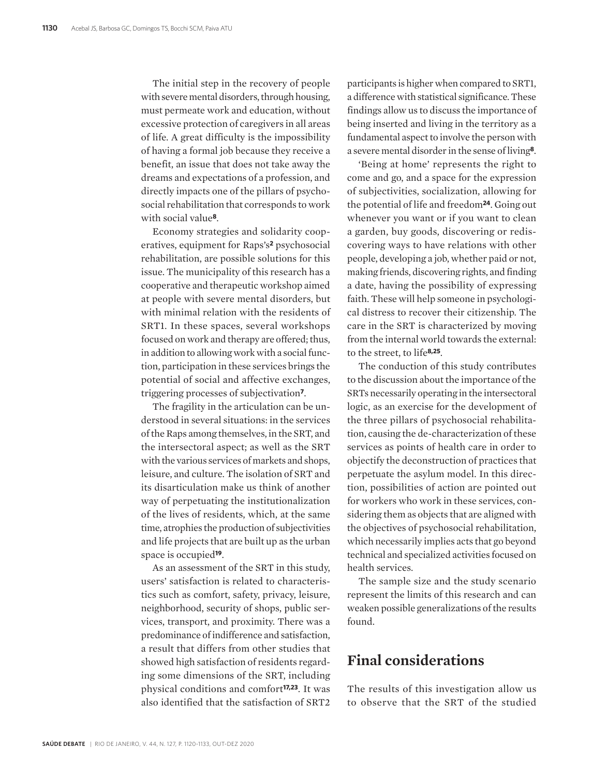The initial step in the recovery of people with severe mental disorders, through housing, must permeate work and education, without excessive protection of caregivers in all areas of life. A great difficulty is the impossibility of having a formal job because they receive a benefit, an issue that does not take away the dreams and expectations of a profession, and directly impacts one of the pillars of psychosocial rehabilitation that corresponds to work with social value**8**.

Economy strategies and solidarity cooperatives, equipment for Raps's**2** psychosocial rehabilitation, are possible solutions for this issue. The municipality of this research has a cooperative and therapeutic workshop aimed at people with severe mental disorders, but with minimal relation with the residents of SRT1. In these spaces, several workshops focused on work and therapy are offered; thus, in addition to allowing work with a social function, participation in these services brings the potential of social and affective exchanges, triggering processes of subjectivation**7**.

The fragility in the articulation can be understood in several situations: in the services of the Raps among themselves, in the SRT, and the intersectoral aspect; as well as the SRT with the various services of markets and shops, leisure, and culture. The isolation of SRT and its disarticulation make us think of another way of perpetuating the institutionalization of the lives of residents, which, at the same time, atrophies the production of subjectivities and life projects that are built up as the urban space is occupied**19**.

As an assessment of the SRT in this study, users' satisfaction is related to characteristics such as comfort, safety, privacy, leisure, neighborhood, security of shops, public services, transport, and proximity. There was a predominance of indifference and satisfaction, a result that differs from other studies that showed high satisfaction of residents regarding some dimensions of the SRT, including physical conditions and comfort**17,23**. It was also identified that the satisfaction of SRT2

participants is higher when compared to SRT1, a difference with statistical significance. These findings allow us to discuss the importance of being inserted and living in the territory as a fundamental aspect to involve the person with a severe mental disorder in the sense of living**8**.

'Being at home' represents the right to come and go, and a space for the expression of subjectivities, socialization, allowing for the potential of life and freedom**24**. Going out whenever you want or if you want to clean a garden, buy goods, discovering or rediscovering ways to have relations with other people, developing a job, whether paid or not, making friends, discovering rights, and finding a date, having the possibility of expressing faith. These will help someone in psychological distress to recover their citizenship. The care in the SRT is characterized by moving from the internal world towards the external: to the street, to life**8,25**.

The conduction of this study contributes to the discussion about the importance of the SRTs necessarily operating in the intersectoral logic, as an exercise for the development of the three pillars of psychosocial rehabilitation, causing the de-characterization of these services as points of health care in order to objectify the deconstruction of practices that perpetuate the asylum model. In this direction, possibilities of action are pointed out for workers who work in these services, considering them as objects that are aligned with the objectives of psychosocial rehabilitation, which necessarily implies acts that go beyond technical and specialized activities focused on health services.

The sample size and the study scenario represent the limits of this research and can weaken possible generalizations of the results found.

#### **Final considerations**

The results of this investigation allow us to observe that the SRT of the studied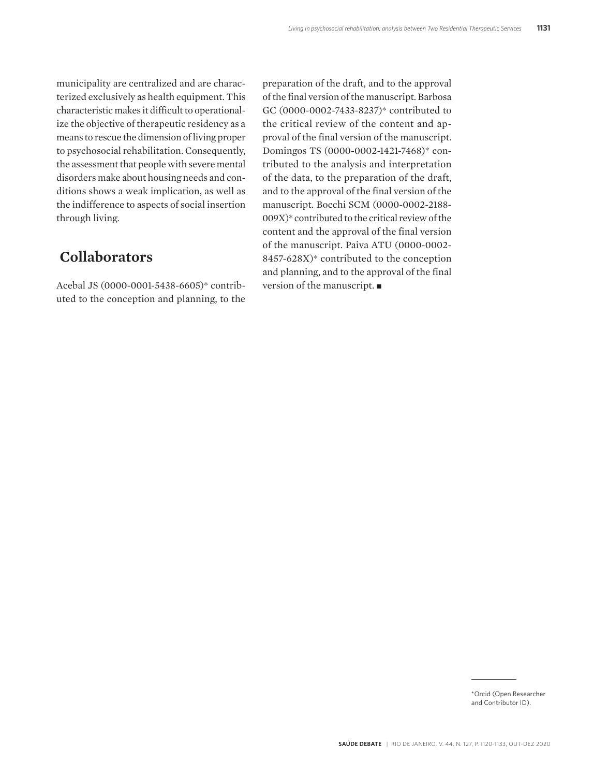municipality are centralized and are characterized exclusively as health equipment. This characteristic makes it difficult to operationalize the objective of therapeutic residency as a means to rescue the dimension of living proper to psychosocial rehabilitation. Consequently, the assessment that people with severe mental disorders make about housing needs and conditions shows a weak implication, as well as the indifference to aspects of social insertion through living.

### **Collaborators**

Acebal JS (0000-0001-5438-6605)\* contributed to the conception and planning, to the preparation of the draft, and to the approval of the final version of the manuscript. Barbosa GC (0000-0002-7433-8237)\* contributed to the critical review of the content and approval of the final version of the manuscript. Domingos TS (0000-0002-1421-7468)\* contributed to the analysis and interpretation of the data, to the preparation of the draft, and to the approval of the final version of the manuscript. Bocchi SCM (0000-0002-2188- 009X)\* contributed to the critical review of the content and the approval of the final version of the manuscript. Paiva ATU (0000-0002- 8457-628X)\* contributed to the conception and planning, and to the approval of the final version of the manuscript.  $\blacksquare$ 

<sup>\*</sup>Orcid (Open Researcher and Contributor ID).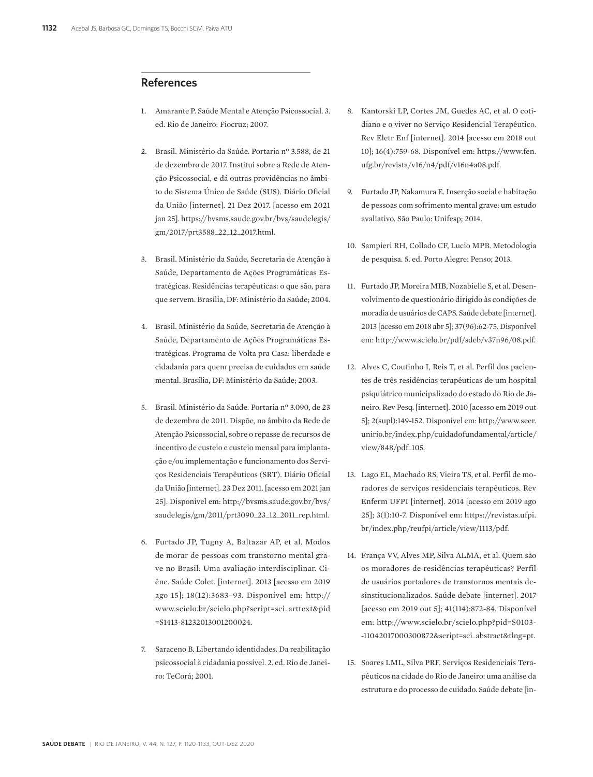#### **References**

- 1. Amarante P. Saúde Mental e Atenção Psicossocial. 3. ed. Rio de Janeiro: Fiocruz; 2007.
- 2. Brasil. Ministério da Saúde. Portaria nº 3.588, de 21 de dezembro de 2017. Institui sobre a Rede de Atenção Psicossocial, e dá outras providências no âmbito do Sistema Único de Saúde (SUS). Diário Oficial da União [internet]. 21 Dez 2017. [acesso em 2021 jan 25]. https://bvsms.saude.gov.br/bvs/saudelegis/ gm/2017/prt3588\_22\_12\_2017.html.
- 3. Brasil. Ministério da Saúde, Secretaria de Atenção à Saúde, Departamento de Ações Programáticas Estratégicas. Residências terapêuticas: o que são, para que servem. Brasília, DF: Ministério da Saúde; 2004.
- 4. Brasil. Ministério da Saúde, Secretaria de Atenção à Saúde, Departamento de Ações Programáticas Estratégicas. Programa de Volta pra Casa: liberdade e cidadania para quem precisa de cuidados em saúde mental. Brasília, DF: Ministério da Saúde; 2003.
- 5. Brasil. Ministério da Saúde. Portaria nº 3.090, de 23 de dezembro de 2011. Dispõe, no âmbito da Rede de Atenção Psicossocial, sobre o repasse de recursos de incentivo de custeio e custeio mensal para implantação e/ou implementação e funcionamento dos Serviços Residenciais Terapêuticos (SRT). Diário Oficial da União [internet]. 23 Dez 2011. [acesso em 2021 jan 25]. Disponível em: http://bvsms.saude.gov.br/bvs/ saudelegis/gm/2011/prt3090\_23\_12\_2011\_rep.html.
- 6. Furtado JP, Tugny A, Baltazar AP, et al. Modos de morar de pessoas com transtorno mental grave no Brasil: Uma avaliação interdisciplinar. Ciênc. Saúde Colet. [internet]. 2013 [acesso em 2019 ago 15]; 18(12):3683–93. Disponível em: http:// www.scielo.br/scielo.php?script=sci\_arttext&pid =S1413-81232013001200024.
- 7. Saraceno B. Libertando identidades. Da reabilitação psicossocial à cidadania possível. 2. ed. Rio de Janeiro: TeCorá; 2001.
- 8. Kantorski LP, Cortes JM, Guedes AC, et al. O cotidiano e o viver no Serviço Residencial Terapêutico. Rev Eletr Enf [internet]. 2014 [acesso em 2018 out 10]; 16(4):759-68. Disponível em: https://www.fen. ufg.br/revista/v16/n4/pdf/v16n4a08.pdf.
- 9. Furtado JP, Nakamura E. Inserção social e habitação de pessoas com sofrimento mental grave: um estudo avaliativo. São Paulo: Unifesp; 2014.
- 10. Sampieri RH, Collado CF, Lucio MPB. Metodologia de pesquisa. 5. ed. Porto Alegre: Penso; 2013.
- 11. Furtado JP, Moreira MIB, Nozabielle S, et al. Desenvolvimento de questionário dirigido às condições de moradia de usuários de CAPS. Saúde debate [internet]. 2013 [acesso em 2018 abr 5]; 37(96):62-75. Disponível em: http://www.scielo.br/pdf/sdeb/v37n96/08.pdf.
- 12. Alves C, Coutinho I, Reis T, et al. Perfil dos pacientes de três residências terapêuticas de um hospital psiquiátrico municipalizado do estado do Rio de Janeiro. Rev Pesq. [internet]. 2010 [acesso em 2019 out 5]; 2(supl):149-152. Disponível em: http://www.seer. unirio.br/index.php/cuidadofundamental/article/ view/848/pdf\_105.
- 13. Lago EL, Machado RS, Vieira TS, et al. Perfil de moradores de serviços residenciais terapêuticos. Rev Enferm UFPI [internet]. 2014 [acesso em 2019 ago 25]; 3(1):10-7. Disponível em: https://revistas.ufpi. br/index.php/reufpi/article/view/1113/pdf.
- 14. França VV, Alves MP, Silva ALMA, et al. Quem são os moradores de residências terapêuticas? Perfil de usuários portadores de transtornos mentais desinstitucionalizados. Saúde debate [internet]. 2017 [acesso em 2019 out 5]; 41(114):872-84. Disponível em: http://www.scielo.br/scielo.php?pid=S0103- -11042017000300872&script=sci\_abstract&tlng=pt.
- 15. Soares LML, Silva PRF. Serviços Residenciais Terapêuticos na cidade do Rio de Janeiro: uma análise da estrutura e do processo de cuidado. Saúde debate [in-